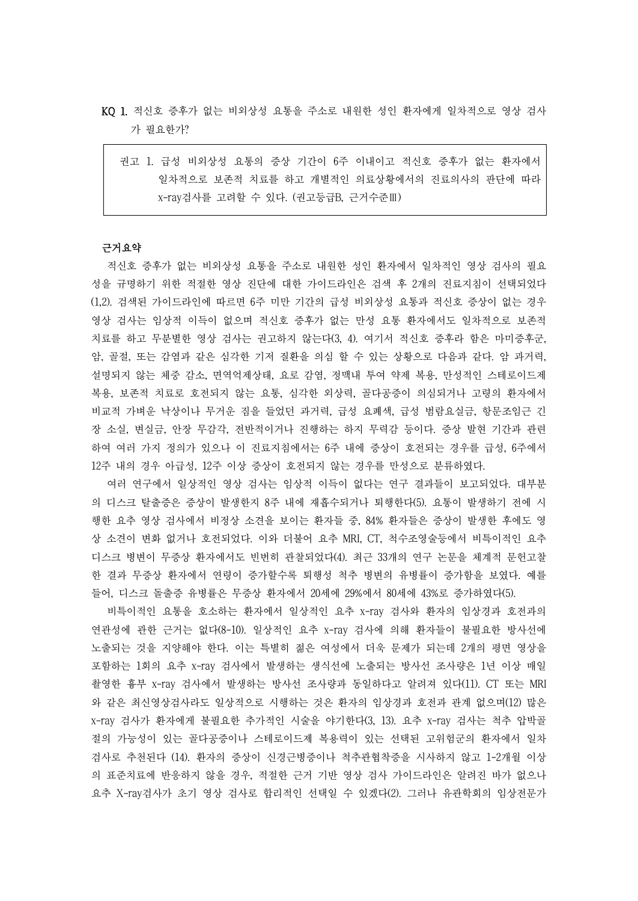- KQ 1. 적신호 증후가 없는 비외상성 요통을 주소로 내원한 성인 환자에게 일차적으로 영상 검사 가 필요한가?
	- 권고 1. 급성 비외상성 요통의 증상 기간이 6주 이내이고 적신호 증후가 없는 환자에서 일차적으로 보존적 치료를 하고 개별적인 의료상황에서의 진료의사의 판단에 따라 x-ray검사를 고려할 수 있다. (권고등급B, 근거수준Ⅲ)

### 근거요약

적신호 증후가 없는 비외상성 요통을 주소로 내원한 성인 환자에서 일차적인 영상 검사의 필요 성을 규명하기 위한 적절한 영상 진단에 대한 가이드라인은 검색 후 2개의 진료지침이 선택되었다 (1,2). 검색된 가이드라인에 따르면 6주 미만 기간의 급성 비외상성 요통과 적신호 증상이 없는 경우 영상 검사는 임상적 이득이 없으며 적신호 증후가 없는 만성 요통 환자에서도 일차적으로 보존적 치료를 하고 무분별한 영상 검사는 권고하지 않는다(3, 4). 여기서 적신호 증후라 함은 마미증후군,<br>암, 골절, 또는 감염과 같은 심각한 기저 질환을 의심 할 수 있는 상황으로 다음과 같다. 암 과거력,<br>설명되지 않는 체중 감소, 면역억제상태, 요로 감염, 정맥내 투여 약제 복용, 만성적인 스테로이드제 복용, 보존적 치료로 호전되지 않는 요통, 심각한 외상력, 골다공증이 의심되거나 고령의 환자에서 비교적 가벼운 낙상이나 무거운 짐을 들었던 과거력, 급성 요폐색, 급성 범람요실금, 항문조임근 긴 장 소실, 변실금, 안장 무감각, 전반적이거나 진행하는 하지 무력감 등이다. 증상 발현 기간과 관련 하여 여러 가지 정의가 있으나 이 진료지침에서는 6주 내에 증상이 호전되는 경우를 급성, 6주에서

12주 내의 경우 아급성, 12주 이상 증상이 호전되지 않는 경우를 만성으로 분류하였다. 여러 연구에서 일상적인 영상 검사는 임상적 이득이 없다는 연구 결과들이 보고되었다. 대부분 의 디스크 탈출증은 증상이 발생한지 8주 내에 재흡수되거나 퇴행한다(5). 요통이 발생하기 전에 시 행한 요추 영상 검사에서 비정상 소견을 보이는 환자들 중, 84% 환자들은 증상이 발생한 후에도 영 상 소견이 변화 없거나 호전되었다. 이와 더불어 요추 MRI, CT, 척수조영술등에서 비특이적인 요추 디스크 병변이 무증상 환자에서도 빈번히 관찰되었다(4). 최근 33개의 연구 논문을 체계적 문헌고찰 한 결과 무증상 환자에서 연령이 증가할수록 퇴행성 척추 병변의 유병률이 증가함을 보였다. 예를 들어, 디스크 돌출증 유병률은 무증상 환자에서 20세에 29%에서 80세에 43%로 증가하였다(5).

비특이적인 요통을 호소하는 환자에서 일상적인 요추 x-ray 검사와 환자의 임상경과 호전과의 연관성에 관한 근거는 없다(8-10). 일상적인 요추 x-ray 검사에 의해 환자들이 불필요한 방사선에 노출되는 것을 지양해야 한다. 이는 특별히 젊은 여성에서 더욱 문제가 되는데 2개의 평면 영상을 포함하는 1회의 요추 x-ray 검사에서 발생하는 생식선에 노출되는 방사선 조사량은 1년 이상 매일 촬영한 흉부 x-ray 검사에서 발생하는 방사선 조사량과 동일하다고 알려져 있다(11). CT 또는 MRI 와 같은 최신영상검사라도 일상적으로 시행하는 것은 환자의 임상경과 호전과 관계 없으며(12) 많은 x-ray 검사가 환자에게 불필요한 추가적인 시술을 야기한다(3, 13). 요추 x-ray 검사는 척추 압박골 절의 가능성이 있는 골다공증이나 스테로이드제 복용력이 있는 선택된 고위험군의 환자에서 일차 검사로 추천된다 (14). 환자의 증상이 신경근병증이나 척추관협착증을 시사하지 않고 1-2개월 이상 의 표준치료에 반응하지 않을 경우, 적절한 근거 기반 영상 검사 가이드라인은 알려진 바가 없으나 요추 X-ray검사가 초기 영상 검사로 합리적인 선택일 수 있겠다(2). 그러나 유관학회의 임상전문가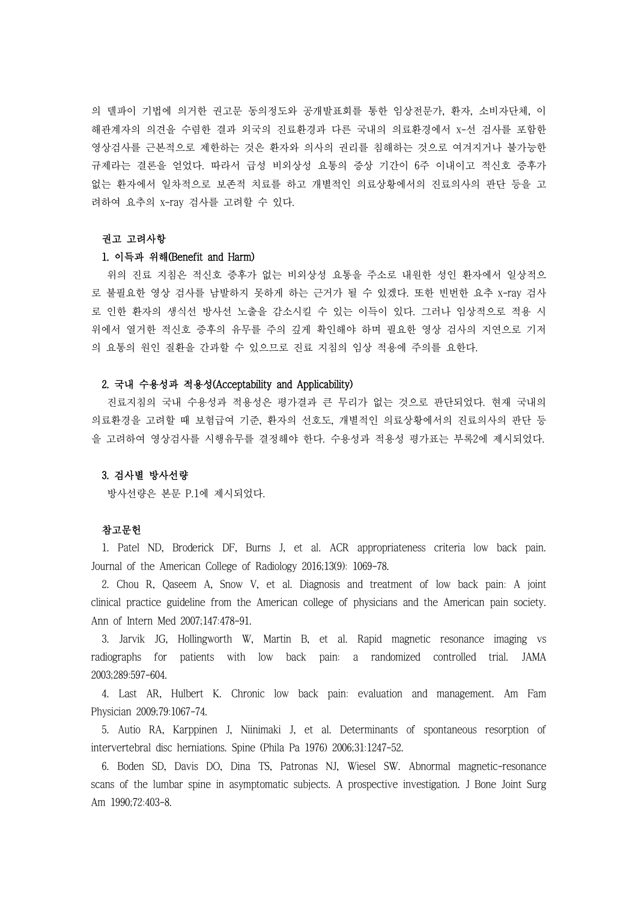의 델파이 기법에 의거한 권고문 동의정도와 공개발표회를 통한 임상전문가, 환자, 소비자단체, 이 해관계자의 의견을 수렴한 결과 외국의 진료환경과 다른 국내의 의료환경에서 x-선 검사를 포함한 영상검사를 근본적으로 제한하는 것은 환자와 의사의 권리를 침해하는 것으로 여겨지거나 불가능한 규제라는 결론을 얻었다. 따라서 급성 비외상성 요통의 증상 기간이 6주 이내이고 적신호 증후가 없는 환자에서 일차적으로 보존적 치료를 하고 개별적인 의료상황에서의 진료의사의 판단 등을 고 려하여 요추의 x-ray 검사를 고려할 수 있다.

# 권고 고려사항

### 1. 이득과 위해(Benefit and Harm)

위의 진료 지침은 적신호 증후가 없는 비외상성 요통을 주소로 내원한 성인 환자에서 일상적으 로 불필요한 영상 검사를 남발하지 못하게 하는 근거가 될 수 있겠다. 또한 빈번한 요추 x-ray 검사 로 인한 환자의 생식선 방사선 노출을 감소시킬 수 있는 이득이 있다. 그러나 임상적으로 적용 시 위에서 열거한 적신호 증후의 유무를 주의 깊게 확인해야 하며 필요한 영상 검사의 지연으로 기저 의 요통의 원인 질환을 간과할 수 있으므로 진료 지침의 임상 적용에 주의를 요한다.

#### 2. 국내 수용성과 적용성(Acceptability and Applicability)

진료지침의 국내 수용성과 적용성은 평가결과 큰 무리가 없는 것으로 판단되었다. 현재 국내의 의료환경을 고려할 때 보험급여 기준, 환자의 선호도, 개별적인 의료상황에서의 진료의사의 판단 등 을 고려하여 영상검사를 시행유무를 결정해야 한다. 수용성과 적용성 평가표는 부록2에 제시되었다.

## 3. 검사별 방사선량

방사선량은 본문 P.1에 제시되었다.

## 참고문헌

1. Patel ND, Broderick DF, Burns J, et al. ACR appropriateness criteria low back pain. Journal of the American College of Radiology 2016;13(9): 1069-78.

2. Chou R, Qaseem A, Snow V, et al. Diagnosis and treatment of low back pain: A joint clinical practice guideline from the American college of physicians and the American pain society. Ann of Intern Med 2007;147:478-91.

3. Jarvik JG, Hollingworth W, Martin B, et al. Rapid magnetic resonance imaging vs radiographs for patients with low back pain: a randomized controlled trial. JAMA 2003;289:597-604.

4. Last AR, Hulbert K. Chronic low back pain: evaluation and management. Am Fam Physician 2009;79:1067-74.

5. Autio RA, Karppinen J, Niinimaki J, et al. Determinants of spontaneous resorption of intervertebral disc herniations. Spine (Phila Pa 1976) 2006;31:1247-52.

6. Boden SD, Davis DO, Dina TS, Patronas NJ, Wiesel SW. Abnormal magnetic-resonance scans of the lumbar spine in asymptomatic subjects. A prospective investigation. J Bone Joint Surg Am 1990;72:403-8.